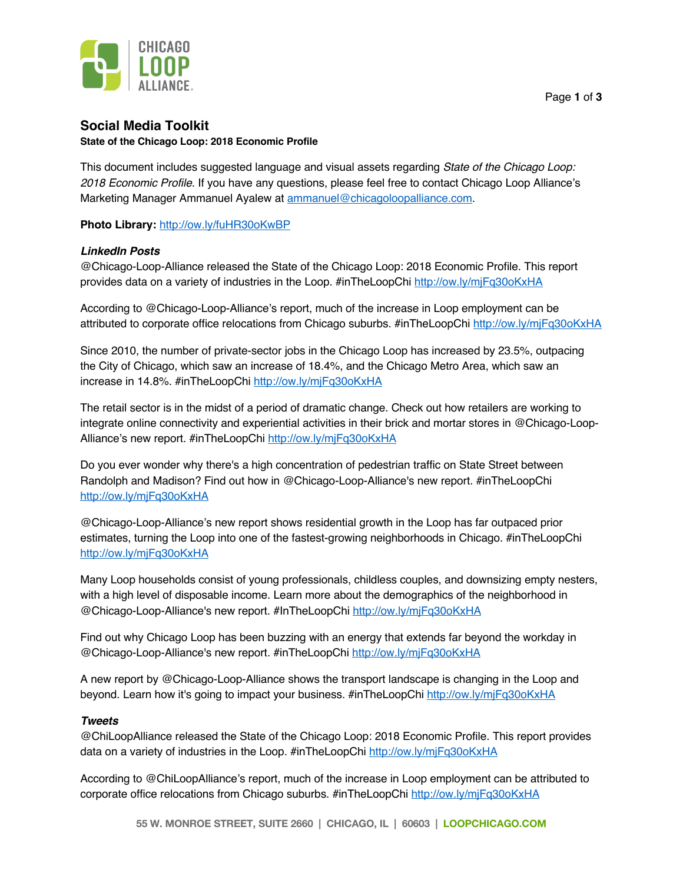

# **Social Media Toolkit**

#### **State of the Chicago Loop: 2018 Economic Profile**

This document includes suggested language and visual assets regarding *State of the Chicago Loop: 2018 Economic Profile*. If you have any questions, please feel free to contact Chicago Loop Alliance's Marketing Manager Ammanuel Ayalew at ammanuel@chicagoloopalliance.com.

**Photo Library:** http://ow.ly/fuHR30oKwBP

## *LinkedIn Posts*

@Chicago-Loop-Alliance released the State of the Chicago Loop: 2018 Economic Profile. This report provides data on a variety of industries in the Loop. #inTheLoopChi http://ow.ly/mjFq30oKxHA

According to @Chicago-Loop-Alliance's report, much of the increase in Loop employment can be attributed to corporate office relocations from Chicago suburbs. #inTheLoopChi http://ow.ly/mjFq30oKxHA

Since 2010, the number of private-sector jobs in the Chicago Loop has increased by 23.5%, outpacing the City of Chicago, which saw an increase of 18.4%, and the Chicago Metro Area, which saw an increase in 14.8%. #inTheLoopChi http://ow.ly/mjFq30oKxHA

The retail sector is in the midst of a period of dramatic change. Check out how retailers are working to integrate online connectivity and experiential activities in their brick and mortar stores in @Chicago-Loop-Alliance's new report. #inTheLoopChi http://ow.ly/mjFq30oKxHA

Do you ever wonder why there's a high concentration of pedestrian traffic on State Street between Randolph and Madison? Find out how in @Chicago-Loop-Alliance's new report. #inTheLoopChi http://ow.ly/mjFq30oKxHA

@Chicago-Loop-Alliance's new report shows residential growth in the Loop has far outpaced prior estimates, turning the Loop into one of the fastest-growing neighborhoods in Chicago. #inTheLoopChi http://ow.ly/mjFq30oKxHA

Many Loop households consist of young professionals, childless couples, and downsizing empty nesters, with a high level of disposable income. Learn more about the demographics of the neighborhood in @Chicago-Loop-Alliance's new report. #InTheLoopChi http://ow.ly/mjFq30oKxHA

Find out why Chicago Loop has been buzzing with an energy that extends far beyond the workday in @Chicago-Loop-Alliance's new report. #inTheLoopChi http://ow.ly/mjFq30oKxHA

A new report by @Chicago-Loop-Alliance shows the transport landscape is changing in the Loop and beyond. Learn how it's going to impact your business. #inTheLoopChi http://ow.ly/mjFq30oKxHA

## *Tweets*

@ChiLoopAlliance released the State of the Chicago Loop: 2018 Economic Profile. This report provides data on a variety of industries in the Loop. #inTheLoopChi http://ow.ly/mjFq30oKxHA

According to @ChiLoopAlliance's report, much of the increase in Loop employment can be attributed to corporate office relocations from Chicago suburbs. #inTheLoopChi http://ow.ly/mjFq30oKxHA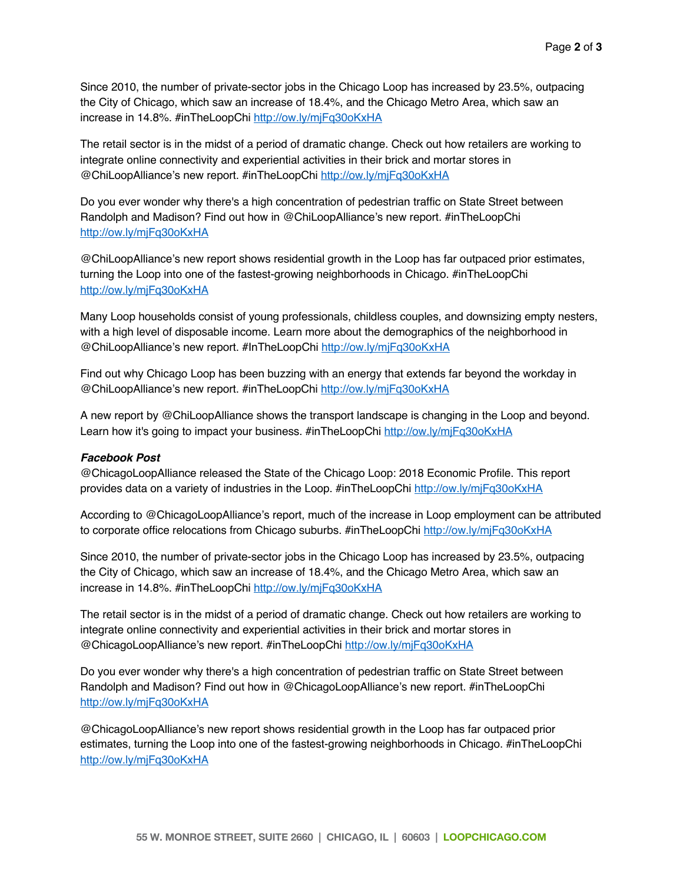Since 2010, the number of private-sector jobs in the Chicago Loop has increased by 23.5%, outpacing the City of Chicago, which saw an increase of 18.4%, and the Chicago Metro Area, which saw an increase in 14.8%. #inTheLoopChi http://ow.ly/mjFq30oKxHA

The retail sector is in the midst of a period of dramatic change. Check out how retailers are working to integrate online connectivity and experiential activities in their brick and mortar stores in @ChiLoopAlliance's new report. #inTheLoopChi http://ow.ly/mjFq30oKxHA

Do you ever wonder why there's a high concentration of pedestrian traffic on State Street between Randolph and Madison? Find out how in @ChiLoopAlliance's new report. #inTheLoopChi http://ow.ly/mjFq30oKxHA

@ChiLoopAlliance's new report shows residential growth in the Loop has far outpaced prior estimates, turning the Loop into one of the fastest-growing neighborhoods in Chicago. #inTheLoopChi http://ow.ly/mjFq30oKxHA

Many Loop households consist of young professionals, childless couples, and downsizing empty nesters, with a high level of disposable income. Learn more about the demographics of the neighborhood in @ChiLoopAlliance's new report. #InTheLoopChi http://ow.ly/mjFq30oKxHA

Find out why Chicago Loop has been buzzing with an energy that extends far beyond the workday in @ChiLoopAlliance's new report. #inTheLoopChi http://ow.ly/mjFq30oKxHA

A new report by @ChiLoopAlliance shows the transport landscape is changing in the Loop and beyond. Learn how it's going to impact your business. #inTheLoopChi http://ow.ly/mjFq30oKxHA

#### *Facebook Post*

@ChicagoLoopAlliance released the State of the Chicago Loop: 2018 Economic Profile. This report provides data on a variety of industries in the Loop. #inTheLoopChi http://ow.ly/mjFq30oKxHA

According to @ChicagoLoopAlliance's report, much of the increase in Loop employment can be attributed to corporate office relocations from Chicago suburbs. #inTheLoopChi http://ow.ly/mjFq30oKxHA

Since 2010, the number of private-sector jobs in the Chicago Loop has increased by 23.5%, outpacing the City of Chicago, which saw an increase of 18.4%, and the Chicago Metro Area, which saw an increase in 14.8%. #inTheLoopChi http://ow.ly/mjFq30oKxHA

The retail sector is in the midst of a period of dramatic change. Check out how retailers are working to integrate online connectivity and experiential activities in their brick and mortar stores in @ChicagoLoopAlliance's new report. #inTheLoopChi http://ow.ly/mjFq30oKxHA

Do you ever wonder why there's a high concentration of pedestrian traffic on State Street between Randolph and Madison? Find out how in @ChicagoLoopAlliance's new report. #inTheLoopChi http://ow.ly/mjFq30oKxHA

@ChicagoLoopAlliance's new report shows residential growth in the Loop has far outpaced prior estimates, turning the Loop into one of the fastest-growing neighborhoods in Chicago. #inTheLoopChi http://ow.ly/mjFq30oKxHA